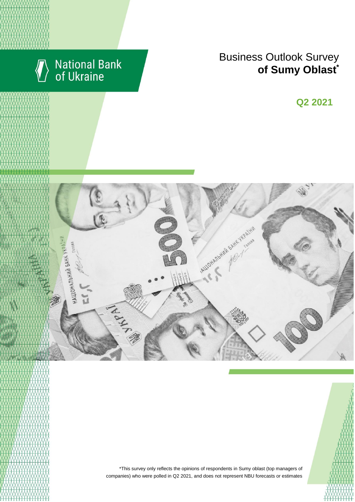

# National Bank<br>of Ukraine

# Business Outlook Survey **content managers of Sumy Oblast**<sup>\*</sup>

**Q2 2018 Q2 2021**



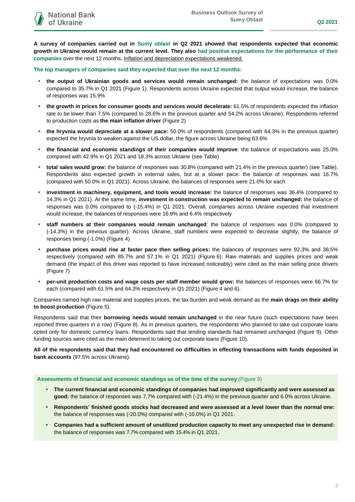**A survey of companies carried out in Sumy oblast in Q2 2021 showed that respondents expected that economic growth in Ukraine would remain at the current level. They also had positive expectations for the performance of their companies** over the next 12 months**.** Inflation and depreciation expectations weakened.

**The top managers of companies said they expected that over the next 12 months:**

- **the output of Ukrainian goods and services would remain unchanged:** the balance of expectations was 0.0% compared to 35.7% in Q1 2021 (Figure 1). Respondents across Ukraine expected that output would increase, the balance of responses was 15.9%
- **the growth in prices for consumer goods and services would decelerate:** 61.5% of respondents expected the inflation rate to be lower than 7.5% (compared to 28.6% in the previous quarter and 54.2% across Ukraine). Respondents referred to production costs as **the main inflation driver** (Figure 2)
- **the hryvnia would depreciate at a slower pace:** 50.0% of respondents (compared with 64.3% in the previous quarter) expected the hryvnia to weaken against the US dollar, the figure across Ukraine being 63.6%
- **the financial and economic standings of their companies would improve**: the balance of expectations was 25.0% compared with 42.9% in Q1 2021 and 18.3% across Ukraine (see Table)
- **total sales would grow:** the balance of responses was 30.8% (compared with 21.4% in the previous quarter) (see Table). Respondents also expected growth in external sales, but at a slower pace: the balance of responses was 16.7% (compared with 50.0% in Q1 2021). Across Ukraine, the balances of responses were 21.0% for each
- **investment in machinery, equipment, and tools would increase:** the balance of responses was 36.4% (compared to 14.3% in Q1 2021). At the same time, **investment in construction was expected to remain unchanged:** the balance of responses was 0.0% compared to (-15.4%) in Q1 2021. Overall, companies across Ukraine expected that investment would increase, the balances of responses were 16.9% and 6.4% respectively
- **staff numbers at their companies would remain unchanged**: the balance of responses was 0.0% (compared to (-14.3%) in the previous quarter). Across Ukraine, staff numbers were expected to decrease slightly, the balance of responses being (-1.0%) (Figure 4)
- **purchase prices would rise at faster pace then selling prices:** the balances of responses were 92.3% and 38.5% respectively (compared with 85.7% and 57.1% in Q1 2021) (Figure 6). Raw materials and supplies prices and weak demand (the impact of this driver was reported to have increased noticeably) were cited as the main selling price drivers (Figure 7)
- **per-unit production costs and wage costs per staff member would grow:** the balances of responses were 66.7% for each (compared with 61.5% and 64.3% respectively in Q1 2021) (Figure 4 and 6).

Companies named high raw material and supplies prices, the tax burden and weak demand as the **main drags on their ability to boost production** (Figure 5).

Respondents said that their **borrowing needs would remain unchanged** in the near future (such expectations have been reported three quarters in a row) (Figure 8). As in previous quarters, the respondents who planned to take out corporate loans opted only for domestic currency loans. Respondents said that lending standards had remained unchanged (Figure 9). Other funding sources were cited as the main deterrent to taking out corporate loans (Figure 10).

**All of the respondents said that they had encountered no difficulties in effecting transactions with funds deposited in bank accounts** (97.5% across Ukraine).

#### **Assessments of financial and economic standings as of the time of the survey** (Figure 3)

- **The current financial and economic standings of companies had improved significantly and were assessed as good:** the balance of responses was 7.7% compared with (-21.4%) in the previous quarter and 6.0% across Ukraine.
- **Respondents' finished goods stocks had decreased and were assessed at a level lower than the normal one:**  the balance of responses was (-20.0%) compared with (-10.0%) in Q1 2021.
- **Companies had a sufficient amount of unutilized production capacity to meet any unexpected rise in demand:** the balance of responses was 7.7% compared with 15.4% in Q1 2021.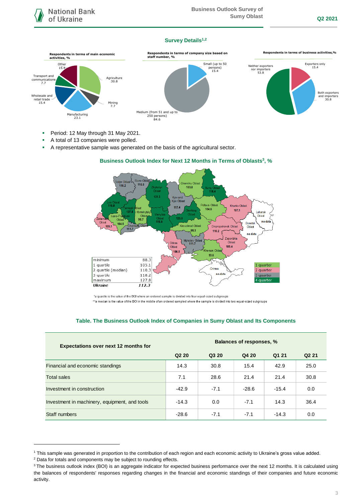#### **Survey Details1,2**



- Period: 12 May through 31 May 2021.
- A total of 13 companies were polled.
- A representative sample was generated on the basis of the agricultural sector.



## **Business Outlook Index for Next 12 Months in Terms of Oblasts<sup>3</sup> , %**

\*a quartile is the value of the BOI where an ordered sample is divided into four equal-sized subgroups \*\*a median is the value of the BOI in the middle of an ordered sampled where the sample is divided into two equal-sized subgroups

#### **Table. The Business Outlook Index of Companies in Sumy Oblast and Its Components**

| <b>Expectations over next 12 months for</b>   | Balances of responses, % |        |         |         |                   |
|-----------------------------------------------|--------------------------|--------|---------|---------|-------------------|
|                                               | Q <sub>2</sub> 20        | Q3 20  | Q4 20   | Q1 21   | Q <sub>2</sub> 21 |
| Financial and economic standings              | 14.3                     | 30.8   | 15.4    | 42.9    | 25.0              |
| <b>Total sales</b>                            | 7.1                      | 28.6   | 21.4    | 21.4    | 30.8              |
| Investment in construction                    | $-42.9$                  | $-7.1$ | $-28.6$ | $-15.4$ | 0.0               |
| Investment in machinery, equipment, and tools | $-14.3$                  | 0.0    | $-7.1$  | 14.3    | 36.4              |
| Staff numbers                                 | $-28.6$                  | $-7.1$ | $-7.1$  | $-14.3$ | 0.0               |

-

<sup>1</sup> This sample was generated in proportion to the contribution of each region and each economic activity to Ukraine's gross value added.

<sup>2</sup> Data for totals and components may be subject to rounding effects.

<sup>&</sup>lt;sup>3</sup> The business outlook index (BOI) is an aggregate indicator for expected business performance over the next 12 months. It is calculated using the balances of respondents' responses regarding changes in the financial and economic standings of their companies and future economic activity.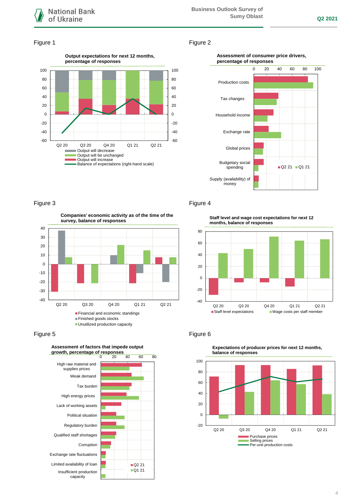

#### Figure 1 Figure 2



#### **Assessment of consumer price drivers, percentage of responses**



## Figure 3 **Figure 4**

**Companies' economic activity as of the time of the survey, balance of responses**



#### Figure 5 **Figure 6** Figure 6



**Staff level and wage cost expectations for next 12 months, balance of responses**





**Expectations of producer prices for next 12 months,**